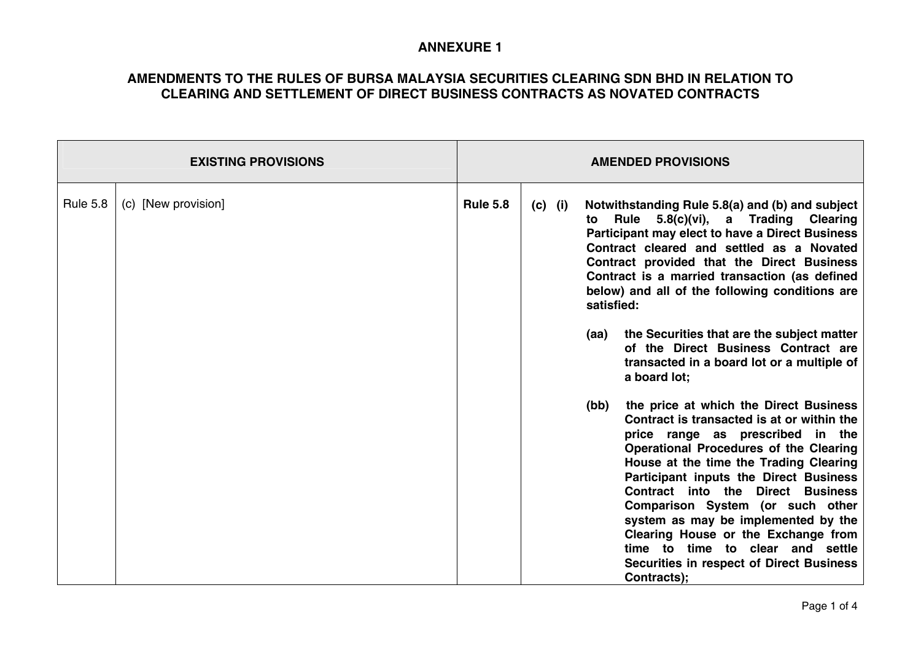| <b>EXISTING PROVISIONS</b> |                     | <b>AMENDED PROVISIONS</b> |           |                          |                                                                                                                                                                                                                                                                                                                                                                                                                                                                                                                            |
|----------------------------|---------------------|---------------------------|-----------|--------------------------|----------------------------------------------------------------------------------------------------------------------------------------------------------------------------------------------------------------------------------------------------------------------------------------------------------------------------------------------------------------------------------------------------------------------------------------------------------------------------------------------------------------------------|
| <b>Rule 5.8</b>            | (c) [New provision] | <b>Rule 5.8</b>           | $(c)$ (i) | to<br>satisfied:<br>(aa) | Notwithstanding Rule 5.8(a) and (b) and subject<br>Rule 5.8(c)(vi), a Trading Clearing<br>Participant may elect to have a Direct Business<br>Contract cleared and settled as a Novated<br>Contract provided that the Direct Business<br>Contract is a married transaction (as defined<br>below) and all of the following conditions are<br>the Securities that are the subject matter<br>of the Direct Business Contract are<br>transacted in a board lot or a multiple of<br>a board lot;                                 |
|                            |                     |                           |           | (bb)                     | the price at which the Direct Business<br>Contract is transacted is at or within the<br>price range as prescribed in the<br><b>Operational Procedures of the Clearing</b><br>House at the time the Trading Clearing<br>Participant inputs the Direct Business<br>Contract into the Direct Business<br>Comparison System (or such other<br>system as may be implemented by the<br>Clearing House or the Exchange from<br>time to time to clear and settle<br><b>Securities in respect of Direct Business</b><br>Contracts); |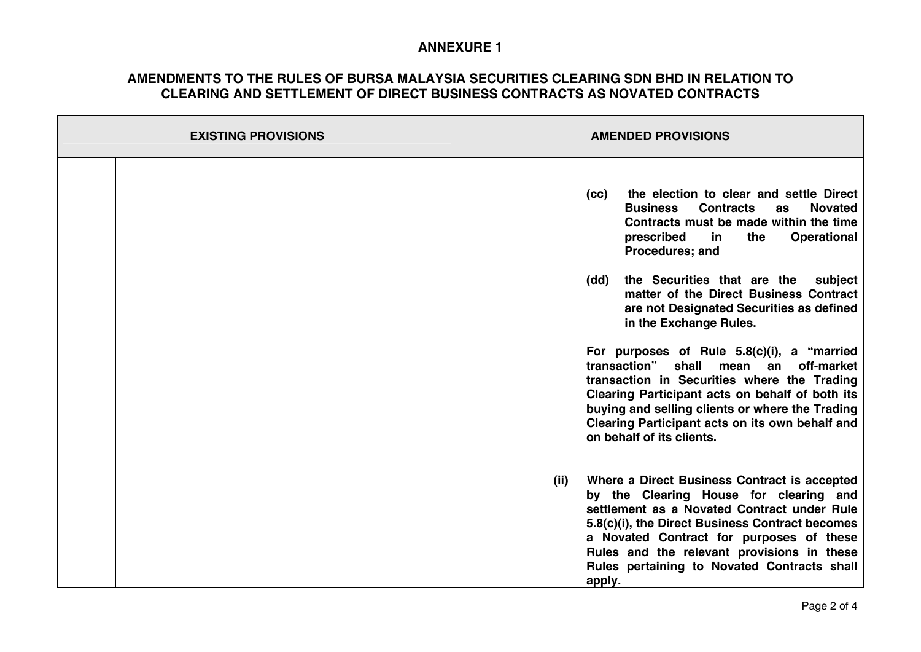| <b>EXISTING PROVISIONS</b> | <b>AMENDED PROVISIONS</b>                                                                                                                                                                                                                                                                                                                           |  |
|----------------------------|-----------------------------------------------------------------------------------------------------------------------------------------------------------------------------------------------------------------------------------------------------------------------------------------------------------------------------------------------------|--|
|                            | the election to clear and settle Direct<br>(cc)<br><b>Contracts</b><br><b>Business</b><br><b>Novated</b><br><b>as</b><br>Contracts must be made within the time<br>prescribed<br>the<br><b>Operational</b><br>in<br><b>Procedures; and</b>                                                                                                          |  |
|                            | the Securities that are the<br>subject<br>(dd)<br>matter of the Direct Business Contract<br>are not Designated Securities as defined<br>in the Exchange Rules.                                                                                                                                                                                      |  |
|                            | For purposes of Rule 5.8(c)(i), a "married<br>transaction"<br>shall<br>off-market<br>mean an<br>transaction in Securities where the Trading<br>Clearing Participant acts on behalf of both its<br>buying and selling clients or where the Trading<br>Clearing Participant acts on its own behalf and<br>on behalf of its clients.                   |  |
|                            | Where a Direct Business Contract is accepted<br>(ii)<br>by the Clearing House for clearing and<br>settlement as a Novated Contract under Rule<br>5.8(c)(i), the Direct Business Contract becomes<br>a Novated Contract for purposes of these<br>Rules and the relevant provisions in these<br>Rules pertaining to Novated Contracts shall<br>apply. |  |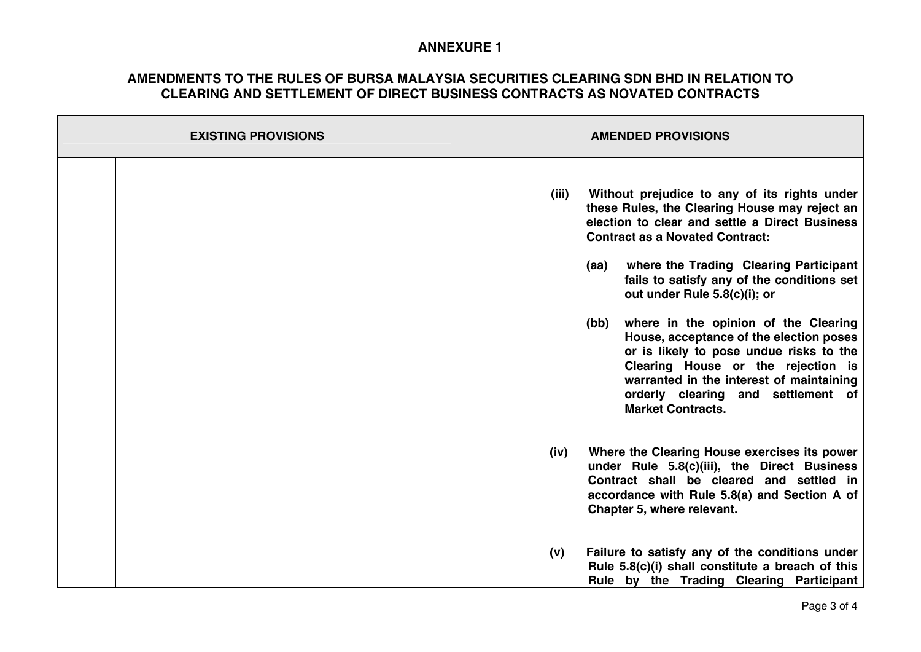| <b>EXISTING PROVISIONS</b> | <b>AMENDED PROVISIONS</b>                                                                                                                                                                                                                                                              |  |
|----------------------------|----------------------------------------------------------------------------------------------------------------------------------------------------------------------------------------------------------------------------------------------------------------------------------------|--|
|                            | Without prejudice to any of its rights under<br>(iii)<br>these Rules, the Clearing House may reject an<br>election to clear and settle a Direct Business<br><b>Contract as a Novated Contract:</b>                                                                                     |  |
|                            | where the Trading Clearing Participant<br>(aa)<br>fails to satisfy any of the conditions set<br>out under Rule 5.8(c)(i); or                                                                                                                                                           |  |
|                            | where in the opinion of the Clearing<br>(bb)<br>House, acceptance of the election poses<br>or is likely to pose undue risks to the<br>Clearing House or the rejection is<br>warranted in the interest of maintaining<br>orderly clearing and settlement of<br><b>Market Contracts.</b> |  |
|                            | Where the Clearing House exercises its power<br>(iv)<br>under Rule 5.8(c)(iii), the Direct Business<br>Contract shall be cleared and settled in<br>accordance with Rule 5.8(a) and Section A of<br>Chapter 5, where relevant.                                                          |  |
|                            | Failure to satisfy any of the conditions under<br>(v)<br>Rule $5.8(c)(i)$ shall constitute a breach of this<br>Rule by the Trading Clearing Participant                                                                                                                                |  |